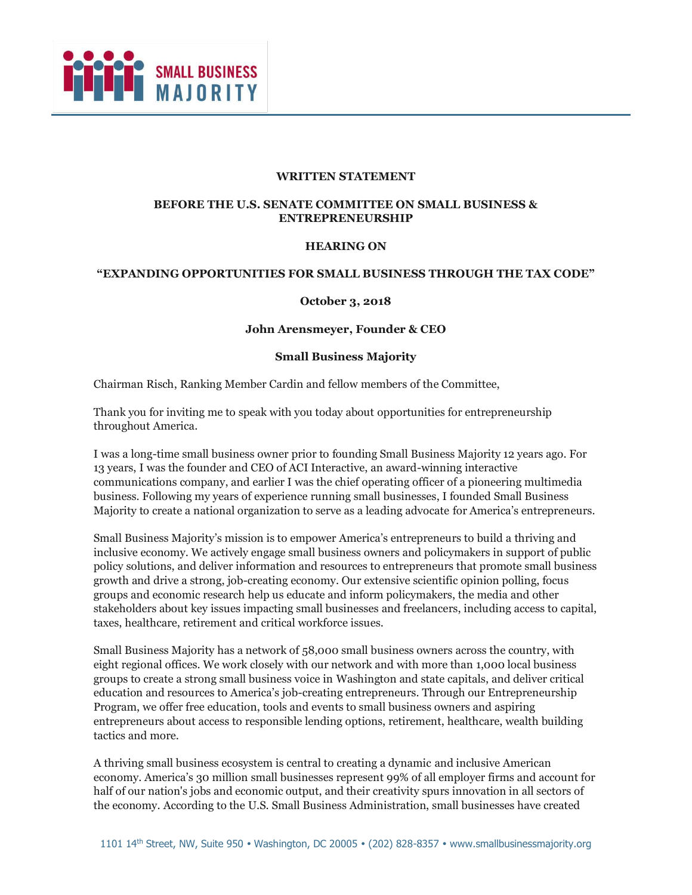

#### **WRITTEN STATEMENT**

### **BEFORE THE U.S. SENATE COMMITTEE ON SMALL BUSINESS & ENTREPRENEURSHIP**

#### **HEARING ON**

### **"EXPANDING OPPORTUNITIES FOR SMALL BUSINESS THROUGH THE TAX CODE"**

#### **October 3, 2018**

#### **John Arensmeyer, Founder & CEO**

#### **Small Business Majority**

Chairman Risch, Ranking Member Cardin and fellow members of the Committee,

Thank you for inviting me to speak with you today about opportunities for entrepreneurship throughout America.

I was a long-time small business owner prior to founding Small Business Majority 12 years ago. For 13 years, I was the founder and CEO of ACI Interactive, an award-winning interactive communications company, and earlier I was the chief operating officer of a pioneering multimedia business. Following my years of experience running small businesses, I founded Small Business Majority to create a national organization to serve as a leading advocate for America's entrepreneurs.

Small Business Majority's mission is to empower America's entrepreneurs to build a thriving and inclusive economy. We actively engage small business owners and policymakers in support of public policy solutions, and deliver information and resources to entrepreneurs that promote small business growth and drive a strong, job-creating economy. Our extensive scientific opinion polling, focus groups and economic research help us educate and inform policymakers, the media and other stakeholders about key issues impacting small businesses and freelancers, including access to capital, taxes, healthcare, retirement and critical workforce issues.

Small Business Majority has a network of 58,000 small business owners across the country, with eight regional offices. We work closely with our network and with more than 1,000 local business groups to create a strong small business voice in Washington and state capitals, and deliver critical education and resources to America's job-creating entrepreneurs. Through our Entrepreneurship Program, we offer free education, tools and events to small business owners and aspiring entrepreneurs about access to responsible lending options, retirement, healthcare, wealth building tactics and more.

A thriving small business ecosystem is central to creating a dynamic and inclusive American economy. America's 30 million small businesses represent 99% of all employer firms and account for half of our nation's jobs and economic output, and their creativity spurs innovation in all sectors of the economy. According to the U.S. Small Business Administration, small businesses have created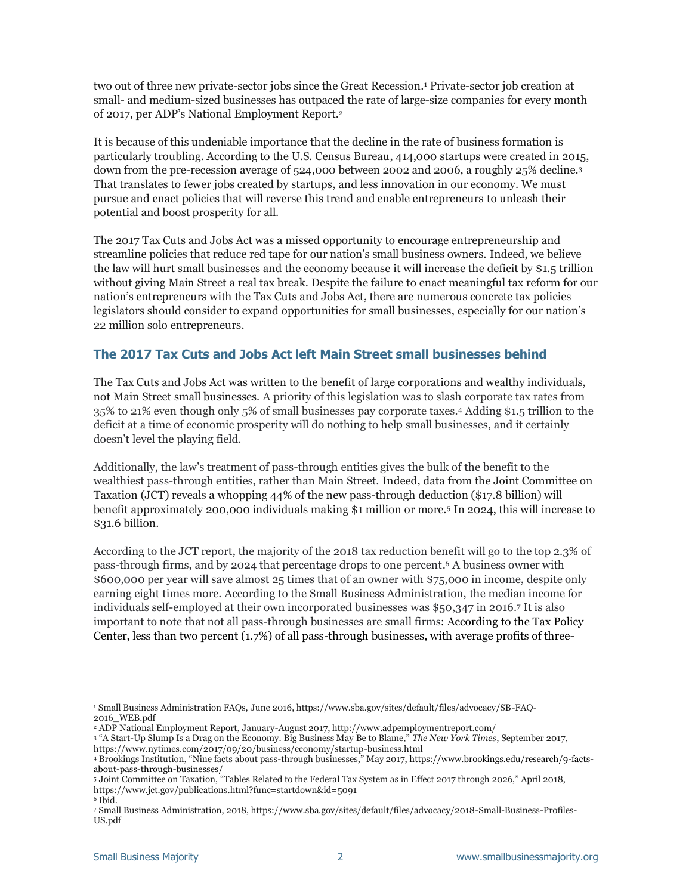two out of three new private-sector jobs since the Great Recession.<sup>1</sup> Private-sector job creation at small- and medium-sized businesses has outpaced the rate of large-size companies for every month of 2017, per ADP's National Employment Report.<sup>2</sup>

It is because of this undeniable importance that the decline in the rate of business formation is particularly troubling. According to the U.S. Census Bureau, 414,000 startups were created in 2015, down from the pre-recession average of 524,000 between 2002 and 2006, a roughly 25% decline.<sup>3</sup> That translates to fewer jobs created by startups, and less innovation in our economy. We must pursue and enact policies that will reverse this trend and enable entrepreneurs to unleash their potential and boost prosperity for all.

The 2017 Tax Cuts and Jobs Act was a missed opportunity to encourage entrepreneurship and streamline policies that reduce red tape for our nation's small business owners. Indeed, we believe the law will hurt small businesses and the economy because it will increase the deficit by \$1.5 trillion without giving Main Street a real tax break. Despite the failure to enact meaningful tax reform for our nation's entrepreneurs with the Tax Cuts and Jobs Act, there are numerous concrete tax policies legislators should consider to expand opportunities for small businesses, especially for our nation's 22 million solo entrepreneurs.

## **The 2017 Tax Cuts and Jobs Act left Main Street small businesses behind**

The Tax Cuts and Jobs Act was written to the benefit of large corporations and wealthy individuals, not Main Street small businesses. A priority of this legislation was to slash corporate tax rates from 35% to 21% even though only 5% of small businesses pay corporate taxes.<sup>4</sup> Adding \$1.5 trillion to the deficit at a time of economic prosperity will do nothing to help small businesses, and it certainly doesn't level the playing field.

Additionally, the law's treatment of pass-through entities gives the bulk of the benefit to the wealthiest pass-through entities, rather than Main Street. Indeed, data from the Joint Committee on Taxation (JCT) reveals a whopping 44% of the new pass-through deduction (\$17.8 billion) will benefit approximately 200,000 individuals making \$1 million or more.<sup>5</sup> In 2024, this will increase to \$31.6 billion.

According to the JCT report, the majority of the 2018 tax reduction benefit will go to the top 2.3% of pass-through firms, and by 2024 that percentage drops to one percent. <sup>6</sup> A business owner with \$600,000 per year will save almost 25 times that of an owner with \$75,000 in income, despite only earning eight times more. According to the Small Business Administration, the median income for individuals self-employed at their own incorporated businesses was \$50,347 in 2016.<sup>7</sup> It is also important to note that not all pass-through businesses are small firms: According to the Tax Policy Center, less than two percent (1.7%) of all pass-through businesses, with average profits of three-

<sup>3</sup> "A Start-Up Slump Is a Drag on the Economy. Big Business May Be to Blame," *The New York Times*, September 2017,

i,

<sup>1</sup> Small Business Administration FAQs, June 2016, https://www.sba.gov/sites/default/files/advocacy/SB-FAQ-2016\_WEB.pdf

<sup>2</sup> ADP National Employment Report, January-August 2017, http://www.adpemploymentreport.com/

https://www.nytimes.com/2017/09/20/business/economy/startup-business.html

<sup>4</sup> Brookings Institution, "Nine facts about pass-through businesses," May 2017, https://www.brookings.edu/research/9-factsabout-pass-through-businesses/

<sup>5</sup> Joint Committee on Taxation, "Tables Related to the Federal Tax System as in Effect 2017 through 2026," April 2018, https://www.jct.gov/publications.html?func=startdown&id=5091

<sup>6</sup> Ibid.

<sup>7</sup> Small Business Administration, 2018, https://www.sba.gov/sites/default/files/advocacy/2018-Small-Business-Profiles-US.pdf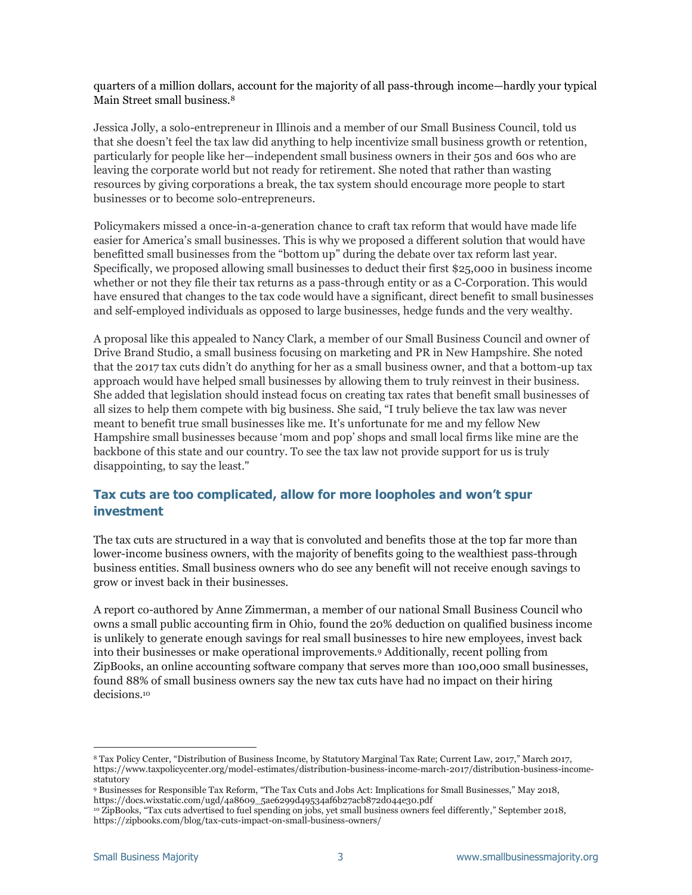quarters of a million dollars, account for the majority of all pass-through income—hardly your typical Main Street small business.<sup>8</sup>

Jessica Jolly, a solo-entrepreneur in Illinois and a member of our Small Business Council, told us that she doesn't feel the tax law did anything to help incentivize small business growth or retention, particularly for people like her—independent small business owners in their 50s and 60s who are leaving the corporate world but not ready for retirement. She noted that rather than wasting resources by giving corporations a break, the tax system should encourage more people to start businesses or to become solo-entrepreneurs.

Policymakers missed a once-in-a-generation chance to craft tax reform that would have made life easier for America's small businesses. This is why we proposed a different solution that would have benefitted small businesses from the "bottom up" during the debate over tax reform last year. Specifically, we proposed allowing small businesses to deduct their first \$25,000 in business income whether or not they file their tax returns as a pass-through entity or as a C-Corporation. This would have ensured that changes to the tax code would have a significant, direct benefit to small businesses and self-employed individuals as opposed to large businesses, hedge funds and the very wealthy.

A proposal like this appealed to Nancy Clark, a member of our Small Business Council and owner of Drive Brand Studio, a small business focusing on marketing and PR in New Hampshire. She noted that the 2017 tax cuts didn't do anything for her as a small business owner, and that a bottom-up tax approach would have helped small businesses by allowing them to truly reinvest in their business. She added that legislation should instead focus on creating tax rates that benefit small businesses of all sizes to help them compete with big business. She said, "I truly believe the tax law was never meant to benefit true small businesses like me. It's unfortunate for me and my fellow New Hampshire small businesses because 'mom and pop' shops and small local firms like mine are the backbone of this state and our country. To see the tax law not provide support for us is truly disappointing, to say the least."

# **Tax cuts are too complicated, allow for more loopholes and won't spur investment**

The tax cuts are structured in a way that is convoluted and benefits those at the top far more than lower-income business owners, with the majority of benefits going to the wealthiest pass-through business entities. Small business owners who do see any benefit will not receive enough savings to grow or invest back in their businesses.

A report co-authored by Anne Zimmerman, a member of our national Small Business Council who owns a small public accounting firm in Ohio, found the 20% deduction on qualified business income is unlikely to generate enough savings for real small businesses to hire new employees, invest back into their businesses or make operational improvements.<sup>9</sup> Additionally, recent polling from ZipBooks, an online accounting software company that serves more than 100,000 small businesses, found 88% of small business owners say the new tax cuts have had no impact on their hiring decisions. 10

i<br>I

<sup>8</sup> Tax Policy Center, "Distribution of Business Income, by Statutory Marginal Tax Rate; Current Law, 2017," March 2017, https://www.taxpolicycenter.org/model-estimates/distribution-business-income-march-2017/distribution-business-incomestatutory

<sup>9</sup> Businesses for Responsible Tax Reform, "The Tax Cuts and Jobs Act: Implications for Small Businesses," May 2018, https://docs.wixstatic.com/ugd/4a8609\_5ae6299d49534af6b27acb872d044e30.pdf

<sup>10</sup> ZipBooks, "Tax cuts advertised to fuel spending on jobs, yet small business owners feel differently," September 2018, https://zipbooks.com/blog/tax-cuts-impact-on-small-business-owners/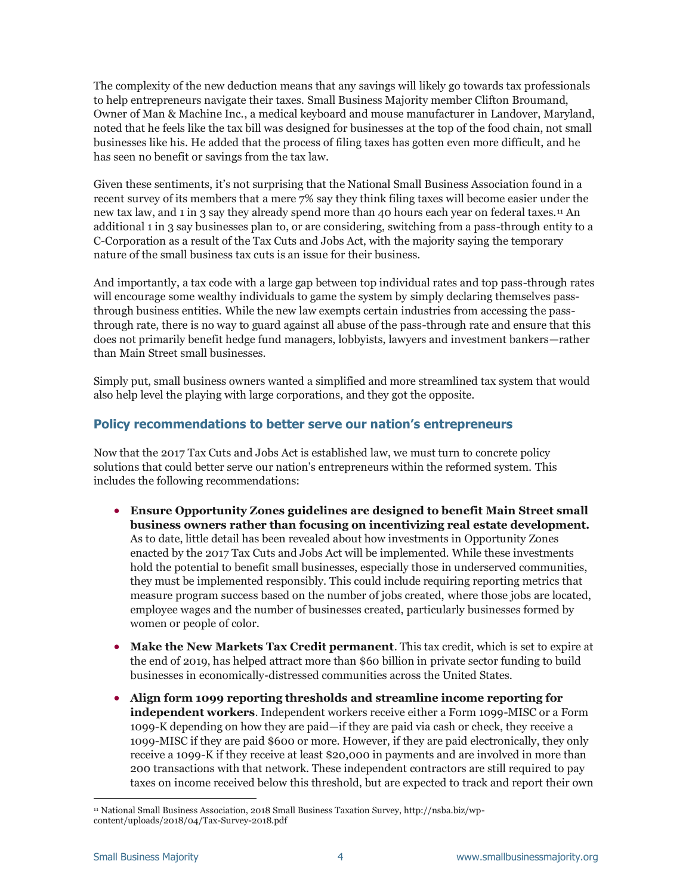The complexity of the new deduction means that any savings will likely go towards tax professionals to help entrepreneurs navigate their taxes. Small Business Majority member Clifton Broumand, Owner of Man & Machine Inc., a medical keyboard and mouse manufacturer in Landover, Maryland, noted that he feels like the tax bill was designed for businesses at the top of the food chain, not small businesses like his. He added that the process of filing taxes has gotten even more difficult, and he has seen no benefit or savings from the tax law.

Given these sentiments, it's not surprising that the National Small Business Association found in a recent survey of its members that a mere 7% say they think filing taxes will become easier under the new tax law, and 1 in 3 say they already spend more than 40 hours each year on federal taxes.<sup>11</sup> An additional 1 in 3 say businesses plan to, or are considering, switching from a pass-through entity to a C-Corporation as a result of the Tax Cuts and Jobs Act, with the majority saying the temporary nature of the small business tax cuts is an issue for their business.

And importantly, a tax code with a large gap between top individual rates and top pass-through rates will encourage some wealthy individuals to game the system by simply declaring themselves passthrough business entities. While the new law exempts certain industries from accessing the passthrough rate, there is no way to guard against all abuse of the pass-through rate and ensure that this does not primarily benefit hedge fund managers, lobbyists, lawyers and investment bankers—rather than Main Street small businesses.

Simply put, small business owners wanted a simplified and more streamlined tax system that would also help level the playing with large corporations, and they got the opposite.

### **Policy recommendations to better serve our nation's entrepreneurs**

Now that the 2017 Tax Cuts and Jobs Act is established law, we must turn to concrete policy solutions that could better serve our nation's entrepreneurs within the reformed system. This includes the following recommendations:

- **Ensure Opportunity Zones guidelines are designed to benefit Main Street small business owners rather than focusing on incentivizing real estate development.** As to date, little detail has been revealed about how investments in Opportunity Zones enacted by the 2017 Tax Cuts and Jobs Act will be implemented. While these investments hold the potential to benefit small businesses, especially those in underserved communities, they must be implemented responsibly. This could include requiring reporting metrics that measure program success based on the number of jobs created, where those jobs are located, employee wages and the number of businesses created, particularly businesses formed by women or people of color.
- **Make the New Markets Tax Credit permanent**. This tax credit, which is set to expire at the end of 2019, has helped attract more than \$60 billion in private sector funding to build businesses in economically-distressed communities across the United States.
- **Align form 1099 reporting thresholds and streamline income reporting for independent workers**. Independent workers receive either a Form 1099-MISC or a Form 1099-K depending on how they are paid—if they are paid via cash or check, they receive a 1099-MISC if they are paid \$600 or more. However, if they are paid electronically, they only receive a 1099-K if they receive at least \$20,000 in payments and are involved in more than 200 transactions with that network. These independent contractors are still required to pay taxes on income received below this threshold, but are expected to track and report their own

ł

<sup>11</sup> National Small Business Association, 2018 Small Business Taxation Survey, http://nsba.biz/wpcontent/uploads/2018/04/Tax-Survey-2018.pdf